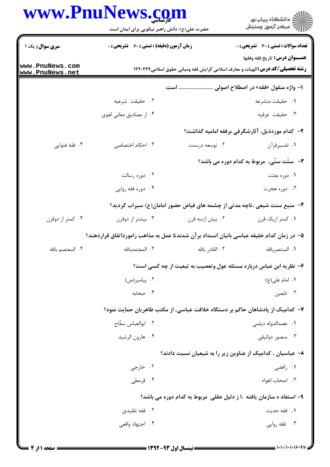## WWW PnuNews com

|                                    | www.PnuNews.com<br>حضرت علی(ع): دانش راهبر نیکویی برای ایمان است                         |                 | ر<br>دانشڪاه پيام نور)<br>ا∛ مرڪز آزمون وسنڊش                                                                         |
|------------------------------------|------------------------------------------------------------------------------------------|-----------------|-----------------------------------------------------------------------------------------------------------------------|
| <b>سری سوال :</b> یک ۱             | <b>زمان آزمون (دقیقه) : تستی : 60 ٪ تشریحی : 0</b>                                       |                 | تعداد سوالات : تستي : 30 - تشريحي : 0                                                                                 |
| www.PnuNews.com<br>www.PnuNews.net |                                                                                          |                 | عنــوان درس: تاريخ فقه وفقها<br><b>رشته تحصیلی/کد درس: ا</b> لهیات و معارف اسلامی گرایش فقه ومبانی حقوق اسلامی1۲۲۰۲۲۹ |
|                                    | ا– واژه منقول «فقه» در اصطلاح اصولی  است.                                                |                 |                                                                                                                       |
|                                    | ۰۲ حقیقت شرعیه                                                                           |                 | ٠١ حقيقت متشرعه                                                                                                       |
|                                    | ۰۴ از مصادیق معانی لغوی                                                                  |                 | ۰۳ حقیقت عرفیه                                                                                                        |
|                                    |                                                                                          |                 | ۲- کدام موردذیل، آثارشگرفی برفقه امامیه گذاشت؟                                                                        |
| ۰۴ فقه فتوايي                      | ۰۳ احکام اختصاصی                                                                         | ۰۲ توسعه درسنت  | ٠١ تفسيرقرآن                                                                                                          |
|                                    |                                                                                          |                 | <b>۳</b> - سنّت سنّی، مربوط به کدام دوره می باشد؟                                                                     |
|                                    | ۰۲ دوره رسالت                                                                            |                 | ۰۱ دوره بعثت                                                                                                          |
|                                    | ۰۴ دوره فقه روايي                                                                        |                 | ۰۳ دوره هجرت                                                                                                          |
|                                    |                                                                                          |                 | ۴- منبع سنت شیعی ،تاچه مدتی از چشمه های فیاض حضور امامان(ع) سیراب گردید؟                                              |
| ۰۴ کمتر از دوقرن                   | ۰۳ بیشتر از دوقرن                                                                        | ۰۲ بیش ازسه قرن | ۰۱ کمتر ازیک قرن                                                                                                      |
|                                    | ۵– در زمان کدام خلیفه عباسی بانیان انسداد برآن شدندتا عمل به مذاهب رامورداتفاق قراردهند؟ |                 |                                                                                                                       |
| ۰۴ المعتصم بالله                   |                                                                                          |                 |                                                                                                                       |
|                                    | ۶– نظریه ابن عباس درباره مسئله عول وتعصیب به تبعیت از چه کسی است؟                        |                 |                                                                                                                       |
|                                    | ۰۲ پیامبر(ص)                                                                             |                 | ٠١. امام على (ع)                                                                                                      |
|                                    | ۰۴ صحابه                                                                                 |                 | ۰۳ تابعین                                                                                                             |
|                                    |                                                                                          |                 | ۷–  کدامیک از پادشاهان حاکم بر دستگاه خلافت عباسی، از مکتب ظاهریان حمایت نمود؟                                        |
|                                    | ٢. ابوالعباس سفّاح                                                                       |                 | ۰۱ عضدالدوله دیلمی                                                                                                    |
|                                    | ۰۴ هارون الرشيد                                                                          |                 | ۰۳ منصور دوانیقی                                                                                                      |
|                                    |                                                                                          |                 | ۸– عباسیان ، کدامیک از عناوین زیر را به شیعیان نسبت دادند؟                                                            |
|                                    | ۰۲ خارجي                                                                                 |                 | ۰۱ رافضی                                                                                                              |
|                                    | ۰۴ قرمطی                                                                                 |                 | ۰۳ اصحاب اهواء                                                                                                        |
|                                    |                                                                                          |                 | ۹- استفاد ه سازمان یافته ،ا ز دلیل عقلی مربوط به کدام دوره می باشد؟                                                   |
|                                    | ۰۲ فقه تقلیدی                                                                            |                 | ٠١. فقه حديث                                                                                                          |
|                                    | ۰۴ اجتهاد واقعی                                                                          |                 | ۰۳ فقه روایی                                                                                                          |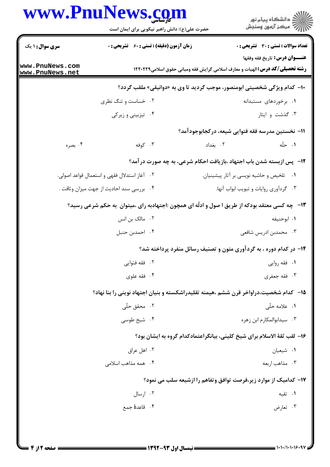## **WWW PniiNews com**

|                                    | www.PnuNews.com<br>حضرت علی(ع): دانش راهبر نیکویی برای ایمان است | ر<br>دانشڪاه پيام نور)<br>ا∛ مرڪز آزمون وسنڊش                                                                         |
|------------------------------------|------------------------------------------------------------------|-----------------------------------------------------------------------------------------------------------------------|
| <b>سری سوال : ۱ یک</b>             | زمان آزمون (دقیقه) : تستی : 60 ٪ تشریحی : 0                      | <b>تعداد سوالات : تستی : 30 ٪ تشریحی : 0</b>                                                                          |
| www.PnuNews.com<br>www.PnuNews.net |                                                                  | عنــوان درس: تاريخ فقه وفقها<br><b>رشته تحصیلی/کد درس: ا</b> لهیات و معارف اسلامی گرایش فقه ومبانی حقوق اسلامی1۲۲۰۲۲۹ |
|                                    |                                                                  | <b>۱۰- کدام ویژگی شخصیتی ابومنصور، موجب گردید تا وی به «دوانیقی» ملقب گردد؟</b>                                       |
|                                    | ۰۲ خساست و تنگ نظری                                              | ۰۱ برخوردهای مستبدانه                                                                                                 |
|                                    | ۰۴ تیزبینی و زیرکی                                               | ۰۳ گذشت و ایثار                                                                                                       |
|                                    |                                                                  | 11– نخستین مدرسه فقه فتوایی شیعه، درکجابوجودآمد؟                                                                      |
| ۰۴ بصره                            | ۰۳ کوفه                                                          | ۰۱ حلّه<br>۰۲ بغداد                                                                                                   |
|                                    |                                                                  | <b>۱۲</b> - پس ازبسته شدن باب اجتهاد ،بازیافت احکام شرعی، به چه صورت درآمد؟                                           |
|                                    | ۲. آغاز استدلال فقهى و استعمال قواعد اصولى.                      | ۰۱ تلخیص و حاشیه نویسی بر آثار پیشینیان.                                                                              |
|                                    | ۰۴ بررسی سند احادیث از جهت میزان وثاقت .                         | ۰۳ گردآوری روایات و تبویب ابواب آنها.                                                                                 |
|                                    |                                                                  | ۱۳- ٪ چه کسی معتقد بودکه از طریق ا صول و ادلّه ای همچون :اجتهادبه رای ،میتوان ً به حکم شرعی رسید؟                     |
|                                    | ۰۲ مالک بن انس                                                   | ٠١. ابوحنيفه                                                                                                          |
|                                    | ۰۴ احمدبن حنبل                                                   | ۰۳ محمدبن ادريس شافعي                                                                                                 |
|                                    |                                                                  | ۱۴- در کدام دوره ، به گردآوری متون و تصنیف رسائل منفرد پرداخته شد؟                                                    |
|                                    | ۰۲ فقه فتوايي                                                    | ۰۱ فقه روايي                                                                                                          |
|                                    | ۰۴ فقه علوی                                                      | ۰۳ فقه جعفري                                                                                                          |
|                                    |                                                                  | ۱۵– کدام شخصیت،دراواخر قرن ششم ،هیمنه تقلیدراشکسته و بنیان اجتهاد نوینی را بنا نهاد؟                                  |
|                                    | ۰۲ محقق حلّی                                                     | <b>۱.</b> علامه حلّی                                                                                                  |
|                                    | ۰۴ شیخ طوسی                                                      | ۰۳ سیدابوالمکارم ابن زهره                                                                                             |
|                                    |                                                                  | ۱۶- لقب ثقة الاسلام براي شيخ كليني، بيانگراعتمادكدام گروه به ايشان بود؟                                               |
|                                    | ۰۲ اهل عراق                                                      | ۰۱ شیعیان                                                                                                             |
|                                    | ۰۴ همه مذاهب اسلامی                                              | ۰۳ مذاهب اربعه                                                                                                        |
|                                    |                                                                  | ۱۷– کدامیک از موارد زیر،فرصت توافق وتفاهم را ازشیعه سلب می نمود؟                                                      |
|                                    | ۰۲ ارسال                                                         | ۰۱ تقیه                                                                                                               |
|                                    | ۴. قاعدهٔ جمع                                                    | ۰۳ تعارض                                                                                                              |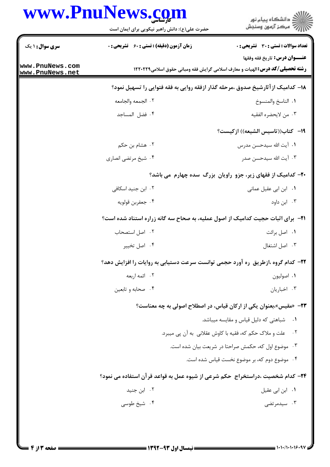## WW DnuNawg sam W

| تعداد سوالات : تستى : 30 قشريحى : 0<br><b>زمان آزمون (دقیقه) : تستی : 60 ٪ تشریحی : 0</b><br><b>سری سوال : ۱ یک</b><br><b>عنـــوان درس:</b> تاريخ فقه وفقها<br><b>رشته تحصیلی/کد درس: ا</b> لهیات و معارف اسلامی گرایش فقه ومبانی حقوق اسلامی1۲۲۰۲۲۹<br>۱۸– کدامیک از آثارشیخ صدوق ،مرحله گذار ازفقه روایی به فقه فتوایی را تسهیل نمود؟<br>٠١. الناسخ والمنسوخ<br>٢. الجمعه والجامعه<br>۰۴ فضل المساجد<br>٠٣ من لايحضره الفقيه<br>1۹– كتاب((تاسيس الشيعه)) ازكيست؟<br>۰۲ هشام بن حکم<br>٠١. آيت الله سيدحسن مدرس<br>۰۴ شیخ مرتضی انصاری<br>۰۳ آیت الله سیدحسن صدر<br>۲۰- کدامیک از فقهای زیر، جزو راویان بزرگ سده چهارم می باشد؟<br>۰۲ ابن جنید اسکافی<br>۰۱ ابن ابی عقیل عمانی<br>۰۴ جعفربن قولويه<br>۰۳ ابن داود<br><b>ا۲−</b> برای اثبات حجیت کدامیک از اصول عملیه، به صحاح سه گانه زراره استناد شده است؟<br>٠٢ اصل استصحاب<br>٠١ اصل برائت<br>۰۴ اصل تخيير<br>٠٣ اصل اشتغال<br>۲۲- کدام گروه ،ازطریق ره آورد حجمی توانست سرعت دستیابی به روایات را افزایش دهد؟<br>۰۲ ائمه اربعه<br>٠١. اصوليون<br>۰۳ اخباریان<br>۰۴ صحابه و تابعین<br>۲۳- «مقیس»،بعنوان یکی از ارکان قیاس، در اصطلاح اصولی به چه معناست؟<br>۰۱ شباهتی که دلیل قیاس و مقایسه میباشد.<br>۰۲ ملت و ملاک حکم که، فقیه با کاوش عقلانی به آن پی میبرد.<br>۰۳ موضوع اول که، حکمش صراحتا در شریعت بیان شده است.<br>۰۴ موضوع دوم که، بر موضوع نخست قیاس شده است.<br>۲۴– کدام شخصیت ،دراستخراج ًحکم شرعی از شیوه عمل به قواعد قر آن استفاده می نمود؟<br>۰۲ ابن جنید<br>۰۱ ابن ابی عقیل<br>۰۳ سیدمرتضی<br>۰۴ شیخ طوسی | www.rnuive | حضرت علی(ع): دانش راهبر نیکویی برای ایمان است | د دانشگاه پيام نور<br>7' مرڪز آزمون وسنڊش |  |
|--------------------------------------------------------------------------------------------------------------------------------------------------------------------------------------------------------------------------------------------------------------------------------------------------------------------------------------------------------------------------------------------------------------------------------------------------------------------------------------------------------------------------------------------------------------------------------------------------------------------------------------------------------------------------------------------------------------------------------------------------------------------------------------------------------------------------------------------------------------------------------------------------------------------------------------------------------------------------------------------------------------------------------------------------------------------------------------------------------------------------------------------------------------------------------------------------------------------------------------------------------------------------------------------------------------------------------------------------------------------------------------------------------------------------------------------------------------------------------|------------|-----------------------------------------------|-------------------------------------------|--|
| www.PnuNews.com<br>www.PnuNews.net                                                                                                                                                                                                                                                                                                                                                                                                                                                                                                                                                                                                                                                                                                                                                                                                                                                                                                                                                                                                                                                                                                                                                                                                                                                                                                                                                                                                                                             |            |                                               |                                           |  |
|                                                                                                                                                                                                                                                                                                                                                                                                                                                                                                                                                                                                                                                                                                                                                                                                                                                                                                                                                                                                                                                                                                                                                                                                                                                                                                                                                                                                                                                                                |            |                                               |                                           |  |
|                                                                                                                                                                                                                                                                                                                                                                                                                                                                                                                                                                                                                                                                                                                                                                                                                                                                                                                                                                                                                                                                                                                                                                                                                                                                                                                                                                                                                                                                                |            |                                               |                                           |  |
|                                                                                                                                                                                                                                                                                                                                                                                                                                                                                                                                                                                                                                                                                                                                                                                                                                                                                                                                                                                                                                                                                                                                                                                                                                                                                                                                                                                                                                                                                |            |                                               |                                           |  |
|                                                                                                                                                                                                                                                                                                                                                                                                                                                                                                                                                                                                                                                                                                                                                                                                                                                                                                                                                                                                                                                                                                                                                                                                                                                                                                                                                                                                                                                                                |            |                                               |                                           |  |
|                                                                                                                                                                                                                                                                                                                                                                                                                                                                                                                                                                                                                                                                                                                                                                                                                                                                                                                                                                                                                                                                                                                                                                                                                                                                                                                                                                                                                                                                                |            |                                               |                                           |  |
|                                                                                                                                                                                                                                                                                                                                                                                                                                                                                                                                                                                                                                                                                                                                                                                                                                                                                                                                                                                                                                                                                                                                                                                                                                                                                                                                                                                                                                                                                |            |                                               |                                           |  |
|                                                                                                                                                                                                                                                                                                                                                                                                                                                                                                                                                                                                                                                                                                                                                                                                                                                                                                                                                                                                                                                                                                                                                                                                                                                                                                                                                                                                                                                                                |            |                                               |                                           |  |
|                                                                                                                                                                                                                                                                                                                                                                                                                                                                                                                                                                                                                                                                                                                                                                                                                                                                                                                                                                                                                                                                                                                                                                                                                                                                                                                                                                                                                                                                                |            |                                               |                                           |  |
|                                                                                                                                                                                                                                                                                                                                                                                                                                                                                                                                                                                                                                                                                                                                                                                                                                                                                                                                                                                                                                                                                                                                                                                                                                                                                                                                                                                                                                                                                |            |                                               |                                           |  |
|                                                                                                                                                                                                                                                                                                                                                                                                                                                                                                                                                                                                                                                                                                                                                                                                                                                                                                                                                                                                                                                                                                                                                                                                                                                                                                                                                                                                                                                                                |            |                                               |                                           |  |
|                                                                                                                                                                                                                                                                                                                                                                                                                                                                                                                                                                                                                                                                                                                                                                                                                                                                                                                                                                                                                                                                                                                                                                                                                                                                                                                                                                                                                                                                                |            |                                               |                                           |  |
|                                                                                                                                                                                                                                                                                                                                                                                                                                                                                                                                                                                                                                                                                                                                                                                                                                                                                                                                                                                                                                                                                                                                                                                                                                                                                                                                                                                                                                                                                |            |                                               |                                           |  |
|                                                                                                                                                                                                                                                                                                                                                                                                                                                                                                                                                                                                                                                                                                                                                                                                                                                                                                                                                                                                                                                                                                                                                                                                                                                                                                                                                                                                                                                                                |            |                                               |                                           |  |
|                                                                                                                                                                                                                                                                                                                                                                                                                                                                                                                                                                                                                                                                                                                                                                                                                                                                                                                                                                                                                                                                                                                                                                                                                                                                                                                                                                                                                                                                                |            |                                               |                                           |  |
|                                                                                                                                                                                                                                                                                                                                                                                                                                                                                                                                                                                                                                                                                                                                                                                                                                                                                                                                                                                                                                                                                                                                                                                                                                                                                                                                                                                                                                                                                |            |                                               |                                           |  |
|                                                                                                                                                                                                                                                                                                                                                                                                                                                                                                                                                                                                                                                                                                                                                                                                                                                                                                                                                                                                                                                                                                                                                                                                                                                                                                                                                                                                                                                                                |            |                                               |                                           |  |
|                                                                                                                                                                                                                                                                                                                                                                                                                                                                                                                                                                                                                                                                                                                                                                                                                                                                                                                                                                                                                                                                                                                                                                                                                                                                                                                                                                                                                                                                                |            |                                               |                                           |  |
|                                                                                                                                                                                                                                                                                                                                                                                                                                                                                                                                                                                                                                                                                                                                                                                                                                                                                                                                                                                                                                                                                                                                                                                                                                                                                                                                                                                                                                                                                |            |                                               |                                           |  |
|                                                                                                                                                                                                                                                                                                                                                                                                                                                                                                                                                                                                                                                                                                                                                                                                                                                                                                                                                                                                                                                                                                                                                                                                                                                                                                                                                                                                                                                                                |            |                                               |                                           |  |
|                                                                                                                                                                                                                                                                                                                                                                                                                                                                                                                                                                                                                                                                                                                                                                                                                                                                                                                                                                                                                                                                                                                                                                                                                                                                                                                                                                                                                                                                                |            |                                               |                                           |  |
|                                                                                                                                                                                                                                                                                                                                                                                                                                                                                                                                                                                                                                                                                                                                                                                                                                                                                                                                                                                                                                                                                                                                                                                                                                                                                                                                                                                                                                                                                |            |                                               |                                           |  |
|                                                                                                                                                                                                                                                                                                                                                                                                                                                                                                                                                                                                                                                                                                                                                                                                                                                                                                                                                                                                                                                                                                                                                                                                                                                                                                                                                                                                                                                                                |            |                                               |                                           |  |
|                                                                                                                                                                                                                                                                                                                                                                                                                                                                                                                                                                                                                                                                                                                                                                                                                                                                                                                                                                                                                                                                                                                                                                                                                                                                                                                                                                                                                                                                                |            |                                               |                                           |  |
|                                                                                                                                                                                                                                                                                                                                                                                                                                                                                                                                                                                                                                                                                                                                                                                                                                                                                                                                                                                                                                                                                                                                                                                                                                                                                                                                                                                                                                                                                |            |                                               |                                           |  |